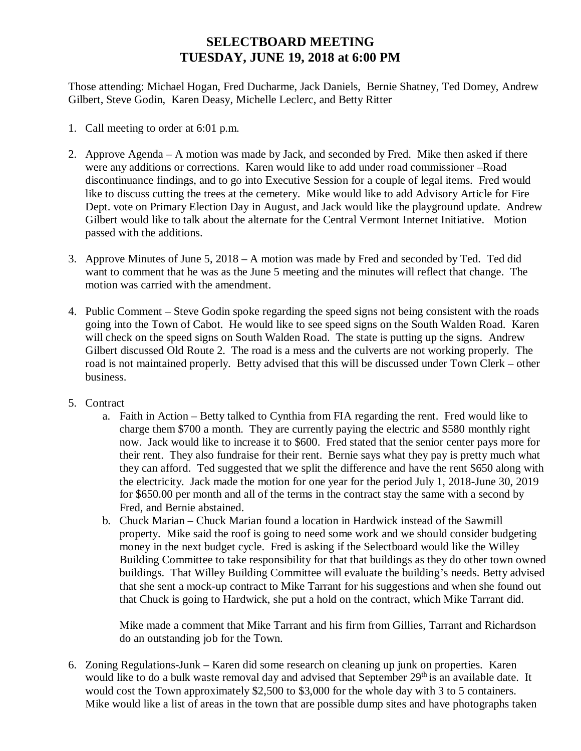## **SELECTBOARD MEETING TUESDAY, JUNE 19, 2018 at 6:00 PM**

Those attending: Michael Hogan, Fred Ducharme, Jack Daniels, Bernie Shatney, Ted Domey, Andrew Gilbert, Steve Godin, Karen Deasy, Michelle Leclerc, and Betty Ritter

- 1. Call meeting to order at 6:01 p.m.
- 2. Approve Agenda A motion was made by Jack, and seconded by Fred. Mike then asked if there were any additions or corrections. Karen would like to add under road commissioner –Road discontinuance findings, and to go into Executive Session for a couple of legal items. Fred would like to discuss cutting the trees at the cemetery. Mike would like to add Advisory Article for Fire Dept. vote on Primary Election Day in August, and Jack would like the playground update. Andrew Gilbert would like to talk about the alternate for the Central Vermont Internet Initiative. Motion passed with the additions.
- 3. Approve Minutes of June 5, 2018 A motion was made by Fred and seconded by Ted. Ted did want to comment that he was as the June 5 meeting and the minutes will reflect that change. The motion was carried with the amendment.
- 4. Public Comment Steve Godin spoke regarding the speed signs not being consistent with the roads going into the Town of Cabot. He would like to see speed signs on the South Walden Road. Karen will check on the speed signs on South Walden Road. The state is putting up the signs. Andrew Gilbert discussed Old Route 2. The road is a mess and the culverts are not working properly. The road is not maintained properly. Betty advised that this will be discussed under Town Clerk – other business.
- 5. Contract
	- a. Faith in Action Betty talked to Cynthia from FIA regarding the rent. Fred would like to charge them \$700 a month. They are currently paying the electric and \$580 monthly right now. Jack would like to increase it to \$600. Fred stated that the senior center pays more for their rent. They also fundraise for their rent. Bernie says what they pay is pretty much what they can afford. Ted suggested that we split the difference and have the rent \$650 along with the electricity. Jack made the motion for one year for the period July 1, 2018-June 30, 2019 for \$650.00 per month and all of the terms in the contract stay the same with a second by Fred, and Bernie abstained.
	- b. Chuck Marian Chuck Marian found a location in Hardwick instead of the Sawmill property. Mike said the roof is going to need some work and we should consider budgeting money in the next budget cycle. Fred is asking if the Selectboard would like the Willey Building Committee to take responsibility for that that buildings as they do other town owned buildings. That Willey Building Committee will evaluate the building's needs. Betty advised that she sent a mock-up contract to Mike Tarrant for his suggestions and when she found out that Chuck is going to Hardwick, she put a hold on the contract, which Mike Tarrant did.

Mike made a comment that Mike Tarrant and his firm from Gillies, Tarrant and Richardson do an outstanding job for the Town.

6. Zoning Regulations-Junk – Karen did some research on cleaning up junk on properties. Karen would like to do a bulk waste removal day and advised that September 29<sup>th</sup> is an available date. It would cost the Town approximately \$2,500 to \$3,000 for the whole day with 3 to 5 containers. Mike would like a list of areas in the town that are possible dump sites and have photographs taken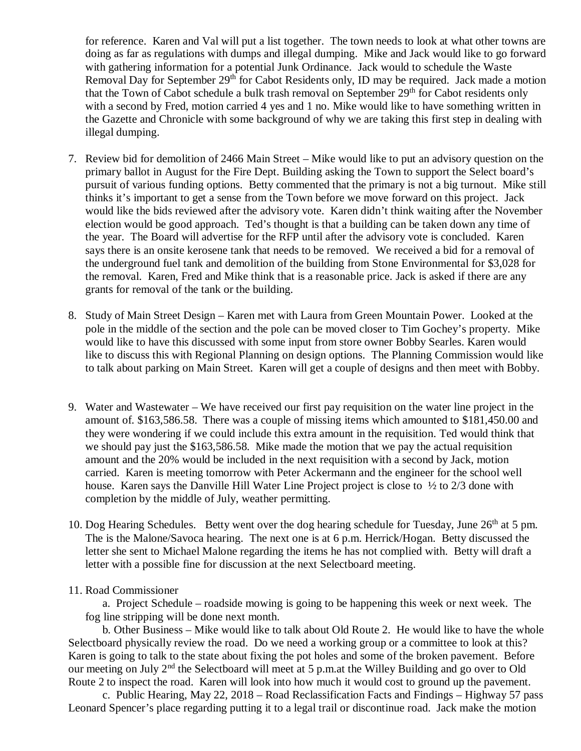for reference. Karen and Val will put a list together. The town needs to look at what other towns are doing as far as regulations with dumps and illegal dumping. Mike and Jack would like to go forward with gathering information for a potential Junk Ordinance. Jack would to schedule the Waste Removal Day for September 29<sup>th</sup> for Cabot Residents only, ID may be required. Jack made a motion that the Town of Cabot schedule a bulk trash removal on September  $29<sup>th</sup>$  for Cabot residents only with a second by Fred, motion carried 4 yes and 1 no. Mike would like to have something written in the Gazette and Chronicle with some background of why we are taking this first step in dealing with illegal dumping.

- 7. Review bid for demolition of 2466 Main Street Mike would like to put an advisory question on the primary ballot in August for the Fire Dept. Building asking the Town to support the Select board's pursuit of various funding options. Betty commented that the primary is not a big turnout. Mike still thinks it's important to get a sense from the Town before we move forward on this project. Jack would like the bids reviewed after the advisory vote. Karen didn't think waiting after the November election would be good approach. Ted's thought is that a building can be taken down any time of the year. The Board will advertise for the RFP until after the advisory vote is concluded. Karen says there is an onsite kerosene tank that needs to be removed. We received a bid for a removal of the underground fuel tank and demolition of the building from Stone Environmental for \$3,028 for the removal. Karen, Fred and Mike think that is a reasonable price. Jack is asked if there are any grants for removal of the tank or the building.
- 8. Study of Main Street Design Karen met with Laura from Green Mountain Power. Looked at the pole in the middle of the section and the pole can be moved closer to Tim Gochey's property. Mike would like to have this discussed with some input from store owner Bobby Searles. Karen would like to discuss this with Regional Planning on design options. The Planning Commission would like to talk about parking on Main Street. Karen will get a couple of designs and then meet with Bobby.
- 9. Water and Wastewater We have received our first pay requisition on the water line project in the amount of. \$163,586.58. There was a couple of missing items which amounted to \$181,450.00 and they were wondering if we could include this extra amount in the requisition. Ted would think that we should pay just the \$163,586.58. Mike made the motion that we pay the actual requisition amount and the 20% would be included in the next requisition with a second by Jack, motion carried. Karen is meeting tomorrow with Peter Ackermann and the engineer for the school well house. Karen says the Danville Hill Water Line Project project is close to  $\frac{1}{2}$  to  $\frac{2}{3}$  done with completion by the middle of July, weather permitting.
- 10. Dog Hearing Schedules. Betty went over the dog hearing schedule for Tuesday, June  $26<sup>th</sup>$  at 5 pm. The is the Malone/Savoca hearing. The next one is at 6 p.m. Herrick/Hogan. Betty discussed the letter she sent to Michael Malone regarding the items he has not complied with. Betty will draft a letter with a possible fine for discussion at the next Selectboard meeting.

## 11. Road Commissioner

a. Project Schedule – roadside mowing is going to be happening this week or next week. The fog line stripping will be done next month.

b. Other Business – Mike would like to talk about Old Route 2. He would like to have the whole Selectboard physically review the road. Do we need a working group or a committee to look at this? Karen is going to talk to the state about fixing the pot holes and some of the broken pavement. Before our meeting on July 2<sup>nd</sup> the Selectboard will meet at 5 p.m.at the Willey Building and go over to Old Route 2 to inspect the road. Karen will look into how much it would cost to ground up the pavement.

c. Public Hearing, May 22, 2018 – Road Reclassification Facts and Findings – Highway 57 pass Leonard Spencer's place regarding putting it to a legal trail or discontinue road. Jack make the motion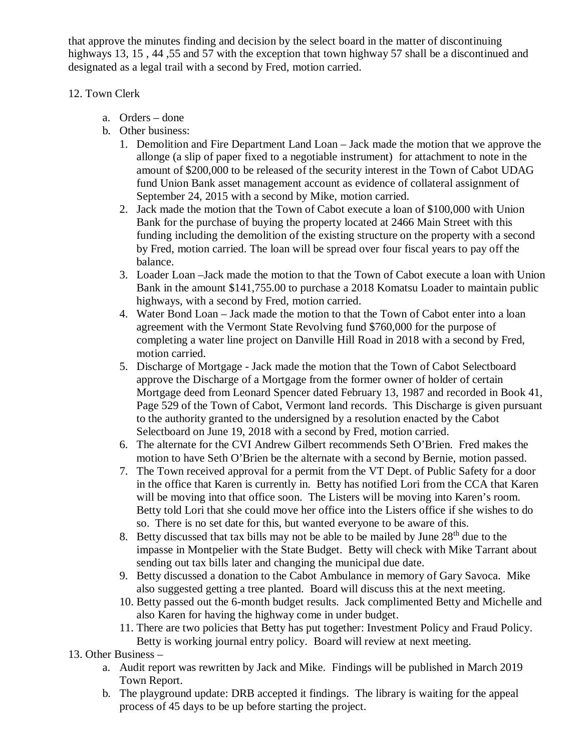that approve the minutes finding and decision by the select board in the matter of discontinuing highways 13, 15, 44, 55 and 57 with the exception that town highway 57 shall be a discontinued and designated as a legal trail with a second by Fred, motion carried.

## 12. Town Clerk

- a. Orders done
- b. Other business:
	- 1. Demolition and Fire Department Land Loan Jack made the motion that we approve the allonge (a slip of paper fixed to a negotiable instrument) for attachment to note in the amount of \$200,000 to be released of the security interest in the Town of Cabot UDAG fund Union Bank asset management account as evidence of collateral assignment of September 24, 2015 with a second by Mike, motion carried.
	- 2. Jack made the motion that the Town of Cabot execute a loan of \$100,000 with Union Bank for the purchase of buying the property located at 2466 Main Street with this funding including the demolition of the existing structure on the property with a second by Fred, motion carried. The loan will be spread over four fiscal years to pay off the balance.
	- 3. Loader Loan –Jack made the motion to that the Town of Cabot execute a loan with Union Bank in the amount \$141,755.00 to purchase a 2018 Komatsu Loader to maintain public highways, with a second by Fred, motion carried.
	- 4. Water Bond Loan Jack made the motion to that the Town of Cabot enter into a loan agreement with the Vermont State Revolving fund \$760,000 for the purpose of completing a water line project on Danville Hill Road in 2018 with a second by Fred, motion carried.
	- 5. Discharge of Mortgage Jack made the motion that the Town of Cabot Selectboard approve the Discharge of a Mortgage from the former owner of holder of certain Mortgage deed from Leonard Spencer dated February 13, 1987 and recorded in Book 41, Page 529 of the Town of Cabot, Vermont land records. This Discharge is given pursuant to the authority granted to the undersigned by a resolution enacted by the Cabot Selectboard on June 19, 2018 with a second by Fred, motion carried.
	- 6. The alternate for the CVI Andrew Gilbert recommends Seth O'Brien. Fred makes the motion to have Seth O'Brien be the alternate with a second by Bernie, motion passed.
	- 7. The Town received approval for a permit from the VT Dept. of Public Safety for a door in the office that Karen is currently in. Betty has notified Lori from the CCA that Karen will be moving into that office soon. The Listers will be moving into Karen's room. Betty told Lori that she could move her office into the Listers office if she wishes to do so. There is no set date for this, but wanted everyone to be aware of this.
	- 8. Betty discussed that tax bills may not be able to be mailed by June  $28<sup>th</sup>$  due to the impasse in Montpelier with the State Budget. Betty will check with Mike Tarrant about sending out tax bills later and changing the municipal due date.
	- 9. Betty discussed a donation to the Cabot Ambulance in memory of Gary Savoca. Mike also suggested getting a tree planted. Board will discuss this at the next meeting.
	- 10. Betty passed out the 6-month budget results. Jack complimented Betty and Michelle and also Karen for having the highway come in under budget.
	- 11. There are two policies that Betty has put together: Investment Policy and Fraud Policy. Betty is working journal entry policy. Board will review at next meeting.

## 13. Other Business –

- a. Audit report was rewritten by Jack and Mike. Findings will be published in March 2019 Town Report.
- b. The playground update: DRB accepted it findings. The library is waiting for the appeal process of 45 days to be up before starting the project.